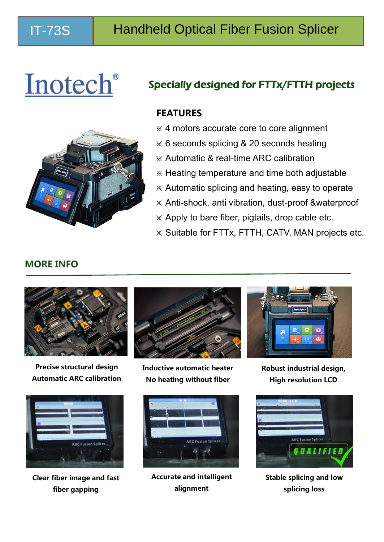# Inotech®

## Specially designed for FTTx/FTTH projects

### **FEATURES**

- ※ 4 motors accurate core to core alignment
- ※ 6 seconds splicing & 20 seconds heating
- ※ Automatic & real-time ARC calibration
- ※ Heating temperature and time both adjustable
- ※ Automatic splicing and heating, easy to operate
- ※ Anti-shock, anti vibration, dust-proof &waterproof
- ※ Apply to bare fiber, pigtails, drop cable etc.
- ※ Suitable for FTTx, FTTH, CATV, MAN projects etc.



**Precise structural design Automatic ARC calibration**



**Clear fiber image and fast fiber gapping**



**Inductive automatic heater No heating without fiber**



**Accurate and intelligent alignment**



**Robust industrial design, High resolution LCD**



**Stable splicing and low splicing loss**